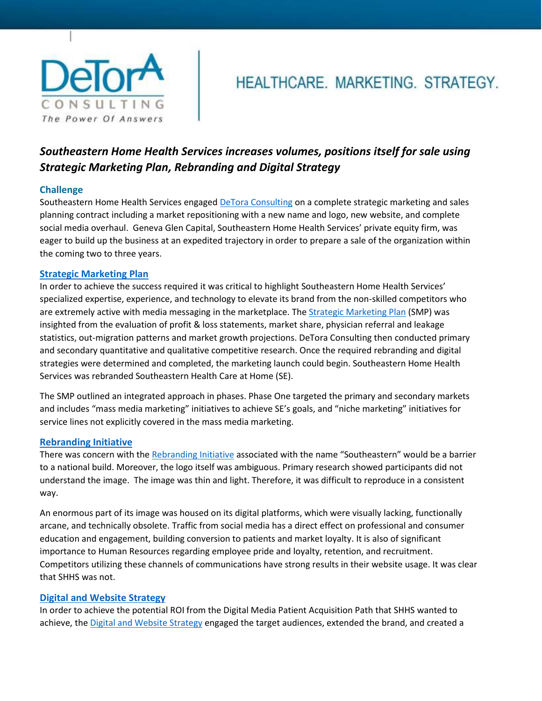

# HEALTHCARE. MARKETING. STRATEGY.

# *Southeastern Home Health Services increases volumes, positions itself for sale using Strategic Marketing Plan, Rebranding and Digital Strategy*

## **Challenge**

Southeastern Home Health Services engaged [DeTora Consulting](https://www.detoraconsulting.com/) on a complete strategic marketing and sales planning contract including a market repositioning with a new name and logo, new website, and complete social media overhaul. Geneva Glen Capital, Southeastern Home Health Services' private equity firm, was eager to build up the business at an expedited trajectory in order to prepare a sale of the organization within the coming two to three years.

### **[Strategic Marketing Plan](https://www.detoraconsulting.com/wp-content/uploads/SE-SMP-Case-Study.pdf)**

In order to achieve the success required it was critical to highlight Southeastern Home Health Services' specialized expertise, experience, and technology to elevate its brand from the non-skilled competitors who are extremely active with media messaging in the marketplace. The [Strategic Marketing Plan](https://www.detoraconsulting.com/wp-content/uploads/SE-SMP-Case-Study.pdf) (SMP) was insighted from the evaluation of profit & loss statements, market share, physician referral and leakage statistics, out-migration patterns and market growth projections. DeTora Consulting then conducted primary and secondary quantitative and qualitative competitive research. Once the required rebranding and digital strategies were determined and completed, the marketing launch could begin. Southeastern Home Health Services was rebranded Southeastern Health Care at Home (SE).

The SMP outlined an integrated approach in phases. Phase One targeted the primary and secondary markets and includes "mass media marketing" initiatives to achieve SE's goals, and "niche marketing" initiatives for service lines not explicitly covered in the mass media marketing.

#### **[Rebranding Initiative](https://www.detoraconsulting.com/wp-content/uploads/SE-Rebranding-Case-Study.pdf)**

There was concern with th[e Rebranding](https://www.detoraconsulting.com/wp-content/uploads/SE-Rebranding-Case-Study.pdf) Initiative associated with the name "Southeastern" would be a barrier to a national build. Moreover, the logo itself was ambiguous. Primary research showed participants did not understand the image. The image was thin and light. Therefore, it was difficult to reproduce in a consistent way.

An enormous part of its image was housed on its digital platforms, which were visually lacking, functionally arcane, and technically obsolete. Traffic from social media has a direct effect on professional and consumer education and engagement, building conversion to patients and market loyalty. It is also of significant importance to Human Resources regarding employee pride and loyalty, retention, and recruitment. Competitors utilizing these channels of communications have strong results in their website usage. It was clear that SHHS was not.

#### **[Digital and Website Strategy](https://www.detoraconsulting.com/wp-content/uploads/SE-Digital-Case-Study.pdf)**

In order to achieve the potential ROI from the Digital Media Patient Acquisition Path that SHHS wanted to achieve, the [Digital and Website Strategy](https://www.detoraconsulting.com/wp-content/uploads/SE-Digital-Case-Study.pdf) engaged the target audiences, extended the brand, and created a